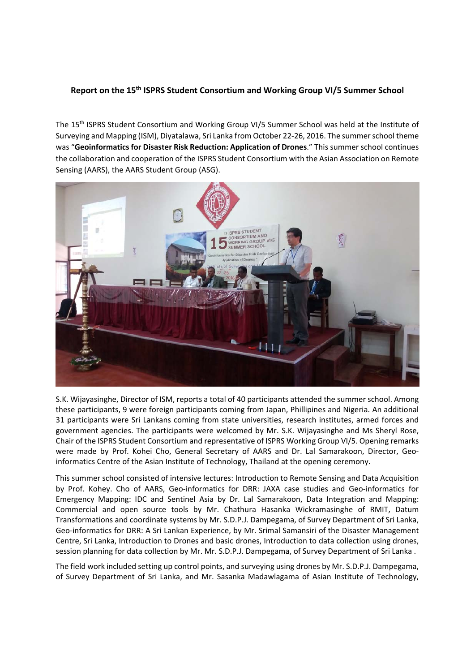## **Report on the 15th ISPRS Student Consortium and Working Group VI/5 Summer School**

The 15th ISPRS Student Consortium and Working Group VI/5 Summer School was held at the Institute of Surveying and Mapping (ISM), Diyatalawa, Sri Lanka from October 22‐26, 2016. The summer school theme was "**Geoinformatics for Disaster Risk Reduction: Application of Drones**." This summer school continues the collaboration and cooperation of the ISPRS Student Consortium with the Asian Association on Remote Sensing (AARS), the AARS Student Group (ASG).



S.K. Wijayasinghe, Director of ISM, reports a total of 40 participants attended the summer school. Among these participants, 9 were foreign participants coming from Japan, Phillipines and Nigeria. An additional 31 participants were Sri Lankans coming from state universities, research institutes, armed forces and government agencies. The participants were welcomed by Mr. S.K. Wijayasinghe and Ms Sheryl Rose, Chair of the ISPRS Student Consortium and representative of ISPRS Working Group VI/5. Opening remarks were made by Prof. Kohei Cho, General Secretary of AARS and Dr. Lal Samarakoon, Director, Geoinformatics Centre of the Asian Institute of Technology, Thailand at the opening ceremony.

This summer school consisted of intensive lectures: Introduction to Remote Sensing and Data Acquisition by Prof. Kohey. Cho of AARS, Geo-informatics for DRR: JAXA case studies and Geo-informatics for Emergency Mapping: IDC and Sentinel Asia by Dr. Lal Samarakoon, Data Integration and Mapping: Commercial and open source tools by Mr. Chathura Hasanka Wickramasinghe of RMIT, Datum Transformations and coordinate systems by Mr. S.D.P.J. Dampegama, of Survey Department of Sri Lanka, Geo‐informatics for DRR: A Sri Lankan Experience, by Mr. Srimal Samansiri of the Disaster Management Centre, Sri Lanka, Introduction to Drones and basic drones, Introduction to data collection using drones, session planning for data collection by Mr. Mr. S.D.P.J. Dampegama, of Survey Department of Sri Lanka .

The field work included setting up control points, and surveying using drones by Mr. S.D.P.J. Dampegama, of Survey Department of Sri Lanka, and Mr. Sasanka Madawlagama of Asian Institute of Technology,